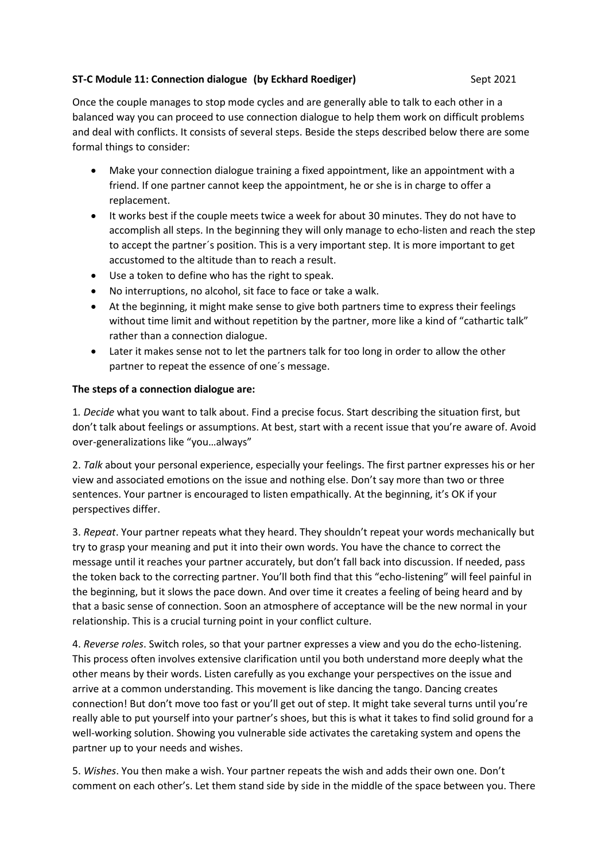## **ST-C Module 11: Connection dialogue (by Eckhard Roediger)** Sept 2021

Once the couple manages to stop mode cycles and are generally able to talk to each other in a balanced way you can proceed to use connection dialogue to help them work on difficult problems and deal with conflicts. It consists of several steps. Beside the steps described below there are some formal things to consider:

- Make your connection dialogue training a fixed appointment, like an appointment with a friend. If one partner cannot keep the appointment, he or she is in charge to offer a replacement.
- It works best if the couple meets twice a week for about 30 minutes. They do not have to accomplish all steps. In the beginning they will only manage to echo-listen and reach the step to accept the partner´s position. This is a very important step. It is more important to get accustomed to the altitude than to reach a result.
- Use a token to define who has the right to speak.
- No interruptions, no alcohol, sit face to face or take a walk.
- At the beginning, it might make sense to give both partners time to express their feelings without time limit and without repetition by the partner, more like a kind of "cathartic talk" rather than a connection dialogue.
- Later it makes sense not to let the partners talk for too long in order to allow the other partner to repeat the essence of one´s message.

## **The steps of a connection dialogue are:**

1*. Decide* what you want to talk about. Find a precise focus. Start describing the situation first, but don't talk about feelings or assumptions. At best, start with a recent issue that you're aware of. Avoid over-generalizations like "you…always"

2. *Talk* about your personal experience, especially your feelings. The first partner expresses his or her view and associated emotions on the issue and nothing else. Don't say more than two or three sentences. Your partner is encouraged to listen empathically. At the beginning, it's OK if your perspectives differ.

3. *Repeat*. Your partner repeats what they heard. They shouldn't repeat your words mechanically but try to grasp your meaning and put it into their own words. You have the chance to correct the message until it reaches your partner accurately, but don't fall back into discussion. If needed, pass the token back to the correcting partner. You'll both find that this "echo-listening" will feel painful in the beginning, but it slows the pace down. And over time it creates a feeling of being heard and by that a basic sense of connection. Soon an atmosphere of acceptance will be the new normal in your relationship. This is a crucial turning point in your conflict culture.

4. *Reverse roles*. Switch roles, so that your partner expresses a view and you do the echo-listening. This process often involves extensive clarification until you both understand more deeply what the other means by their words. Listen carefully as you exchange your perspectives on the issue and arrive at a common understanding. This movement is like dancing the tango. Dancing creates connection! But don't move too fast or you'll get out of step. It might take several turns until you're really able to put yourself into your partner's shoes, but this is what it takes to find solid ground for a well-working solution. Showing you vulnerable side activates the caretaking system and opens the partner up to your needs and wishes.

5. *Wishes*. You then make a wish. Your partner repeats the wish and adds their own one. Don't comment on each other's. Let them stand side by side in the middle of the space between you. There